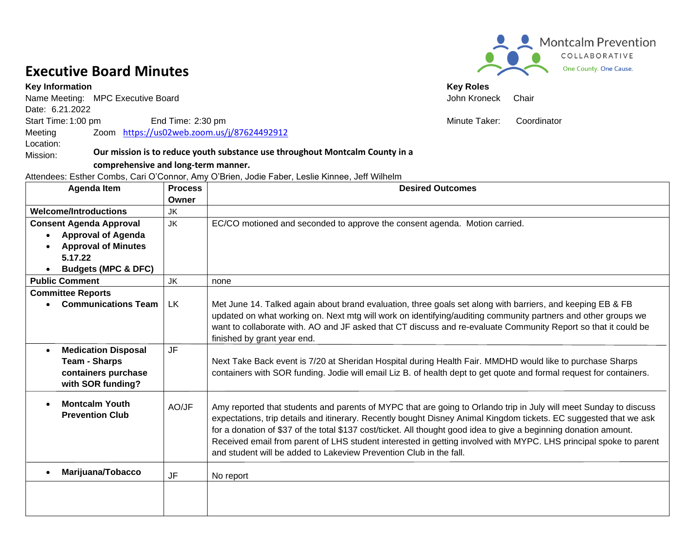## **Executive Board Minutes**

**Key Information** Key Roles

Mission:

Name Meeting: MPC Executive Board **Chair** And The Meeting: MPC Executive Board **John Kroneck** Chair Date: 6.21.2022 Start Time: 1:00 pm End Time: 2:30 pm end Time: 2:30 pm end to the Minute Taker: Coordinator Meeting Location: Zoom <https://us02web.zoom.us/j/87624492912>

#### **Our mission is to reduce youth substance use throughout Montcalm County in a**

#### **comprehensive and long-term manner.**

Attendees: Esther Combs, Cari O'Connor, Amy O'Brien, Jodie Faber, Leslie Kinnee, Jeff Wilhelm

| <b>Agenda Item</b>             | <b>Process</b> | <b>Desired Outcomes</b>                                                                                             |
|--------------------------------|----------------|---------------------------------------------------------------------------------------------------------------------|
|                                | Owner          |                                                                                                                     |
| <b>Welcome/Introductions</b>   | <b>JK</b>      |                                                                                                                     |
| <b>Consent Agenda Approval</b> | JK             | EC/CO motioned and seconded to approve the consent agenda. Motion carried.                                          |
| <b>Approval of Agenda</b>      |                |                                                                                                                     |
| <b>Approval of Minutes</b>     |                |                                                                                                                     |
| 5.17.22                        |                |                                                                                                                     |
| <b>Budgets (MPC &amp; DFC)</b> |                |                                                                                                                     |
| <b>Public Comment</b>          | <b>JK</b>      | none                                                                                                                |
| <b>Committee Reports</b>       |                |                                                                                                                     |
| <b>Communications Team</b>     | <b>LK</b>      | Met June 14. Talked again about brand evaluation, three goals set along with barriers, and keeping EB & FB          |
|                                |                | updated on what working on. Next mtg will work on identifying/auditing community partners and other groups we       |
|                                |                | want to collaborate with. AO and JF asked that CT discuss and re-evaluate Community Report so that it could be      |
|                                |                | finished by grant year end.                                                                                         |
| <b>Medication Disposal</b>     | <b>JF</b>      |                                                                                                                     |
| <b>Team - Sharps</b>           |                | Next Take Back event is 7/20 at Sheridan Hospital during Health Fair. MMDHD would like to purchase Sharps           |
| containers purchase            |                | containers with SOR funding. Jodie will email Liz B. of health dept to get quote and formal request for containers. |
| with SOR funding?              |                |                                                                                                                     |
| <b>Montcalm Youth</b>          |                |                                                                                                                     |
| <b>Prevention Club</b>         | AO/JF          | Amy reported that students and parents of MYPC that are going to Orlando trip in July will meet Sunday to discuss   |
|                                |                | expectations, trip details and itinerary. Recently bought Disney Animal Kingdom tickets. EC suggested that we ask   |
|                                |                | for a donation of \$37 of the total \$137 cost/ticket. All thought good idea to give a beginning donation amount.   |
|                                |                | Received email from parent of LHS student interested in getting involved with MYPC. LHS principal spoke to parent   |
|                                |                | and student will be added to Lakeview Prevention Club in the fall.                                                  |
| Marijuana/Tobacco              |                |                                                                                                                     |
|                                | <b>JF</b>      | No report                                                                                                           |
|                                |                |                                                                                                                     |
|                                |                |                                                                                                                     |
|                                |                |                                                                                                                     |